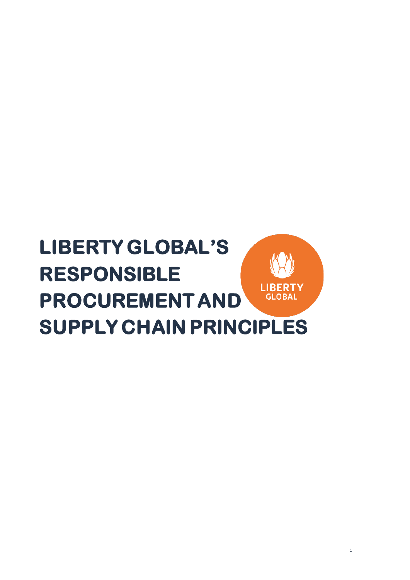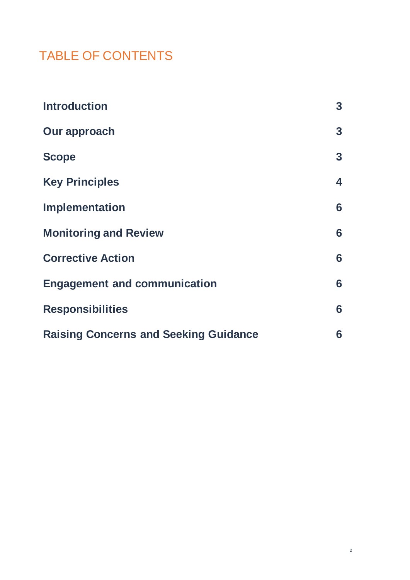# TABLE OF CONTENTS

| <b>Introduction</b>                          | $\mathbf{3}$ |
|----------------------------------------------|--------------|
| Our approach                                 | $\mathbf{3}$ |
| <b>Scope</b>                                 | $\mathbf{3}$ |
| <b>Key Principles</b>                        | 4            |
| <b>Implementation</b>                        | 6            |
| <b>Monitoring and Review</b>                 | 6            |
| <b>Corrective Action</b>                     | 6            |
| <b>Engagement and communication</b>          | 6            |
| <b>Responsibilities</b>                      | 6            |
| <b>Raising Concerns and Seeking Guidance</b> | 6            |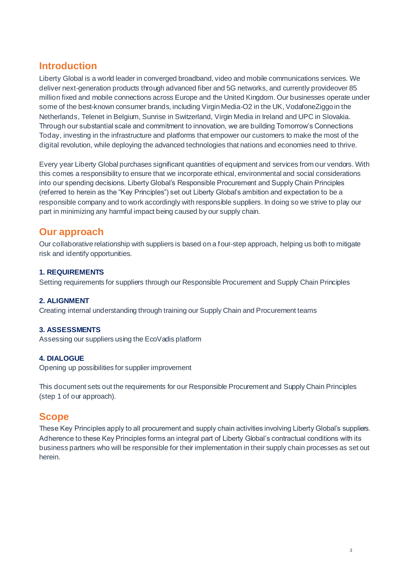# **Introduction**

Liberty Global is a world leader in converged broadband, video and mobile communications services. We deliver next-generation products through advanced fiber and 5G networks, and currently provideover 85 million fixed and mobile connections across Europe and the United Kingdom. Our businesses operate under some of the best-known consumer brands, including Virgin Media-O2 in the UK, VodafoneZiggo in the Netherlands, Telenet in Belgium, Sunrise in Switzerland, Virgin Media in Ireland and UPC in Slovakia. Through our substantial scale and commitment to innovation, we are building Tomorrow's Connections Today, investing in the infrastructure and platforms that empower our customers to make the most of the digital revolution, while deploying the advanced technologies that nations and economies need to thrive.

Every year Liberty Global purchases significant quantities of equipment and services from our vendors. With this comes a responsibility to ensure that we incorporate ethical, environmental and social considerations into our spending decisions. Liberty Global's Responsible Procurement and Supply Chain Principles (referred to herein as the "Key Principles") set out Liberty Global's ambition and expectation to be a responsible company and to work accordingly with responsible suppliers. In doing so we strive to play our part in minimizing any harmful impact being caused by our supply chain.

# **Our approach**

Our collaborative relationship with suppliers is based on a four-step approach, helping us both to mitigate risk and identify opportunities.

## **1. REQUIREMENTS**

Setting requirements for suppliers through our Responsible Procurement and Supply Chain Principles

### **2. ALIGNMENT**

Creating internal understanding through training our Supply Chain and Procurement teams

### **3. ASSESSMENTS**

Assessing our suppliers using the EcoVadis platform

### **4. DIALOGUE**

Opening up possibilities for supplier improvement

This document sets out the requirements for our Responsible Procurement and Supply Chain Principles (step 1 of our approach).

# **Scope**

These Key Principles apply to all procurement and supply chain activities involving Liberty Global's suppliers. Adherence to these Key Principles forms an integral part of Liberty Global's contractual conditions with its business partners who will be responsible for their implementation in their supply chain processes as set out herein.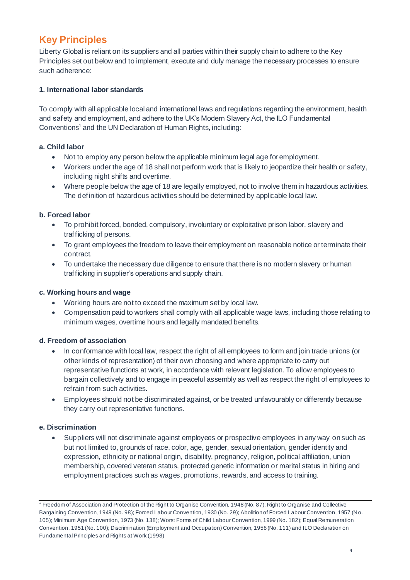# **Key Principles**

Liberty Global is reliant on its suppliers and all parties within their supply chain to adhere to the Key Principles set out below and to implement, execute and duly manage the necessary processes to ensure such adherence:

## **1. International labor standards**

To comply with all applicable local and international laws and regulations regarding the environment, health and safety and employment, and adhere to the UK's Modern Slavery Act, the ILO Fundamental Conventions<sup>1</sup> and the UN Declaration of Human Rights, including:

## **a. Child labor**

- Not to employ any person below the applicable minimum legal age for employment.
- Workers under the age of 18 shall not perform work that is likely to jeopardize their health or safety, including night shifts and overtime.
- Where people below the age of 18 are legally employed, not to involve them in hazardous activities. The definition of hazardous activities should be determined by applicable local law.

## **b. Forced labor**

- To prohibit forced, bonded, compulsory, involuntary or exploitative prison labor, slavery and trafficking of persons.
- To grant employees the freedom to leave their employment on reasonable notice or terminate their contract.
- To undertake the necessary due diligence to ensure that there is no modern slavery or human trafficking in supplier's operations and supply chain.

### **c. Working hours and wage**

- Working hours are not to exceed the maximum set by local law.
- Compensation paid to workers shall comply with all applicable wage laws, including those relating to minimum wages, overtime hours and legally mandated benefits.

### **d. Freedom of association**

- In conformance with local law, respect the right of all employees to form and join trade unions (or other kinds of representation) of their own choosing and where appropriate to carry out representative functions at work, in accordance with relevant legislation. To allow employees to bargain collectively and to engage in peaceful assembly as well as respect the right of employees to refrain from such activities.
- Employees should not be discriminated against, or be treated unfavourably or differently because they carry out representative functions.

# **e. Discrimination**

• Suppliers will not discriminate against employees or prospective employees in any way on such as but not limited to, grounds of race, color, age, gender, sexual orientation, gender identity and expression, ethnicity or national origin, disability, pregnancy, religion, political affiliation, union membership, covered veteran status, protected genetic information or marital status in hiring and employment practices such as wages, promotions, rewards, and access to training.

<sup>&</sup>lt;sup>1</sup> Freedom of Association and Protection of the Right to Organise Convention, 1948 (No. 87); Right to Organise and Collective Bargaining Convention, 1949 (No. 98); Forced Labour Convention, 1930 (No. 29); Abolition of Forced Labour Convention, 1957 (No. 105); Minimum Age Convention, 1973 (No. 138); Worst Forms of Child Labour Convention, 1999 (No. 182); Equal Remuneration Convention, 1951 (No. 100); Discrimination (Employment and Occupation) Convention, 1958 (No. 111) and ILO Declaration on Fundamental Principles and Rights at Work (1998)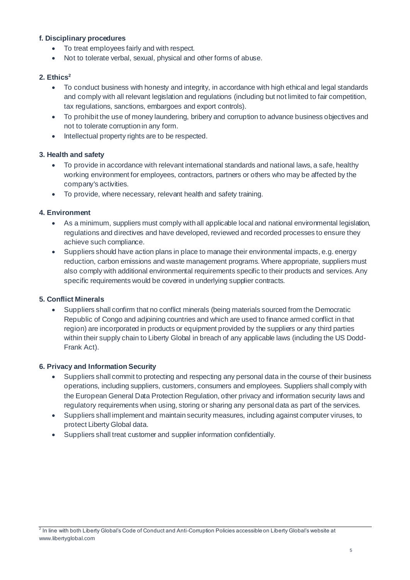#### **f. Disciplinary procedures**

- To treat employees fairly and with respect.
- Not to tolerate verbal, sexual, physical and other forms of abuse.

#### **2. Ethics<sup>2</sup>**

- To conduct business with honesty and integrity, in accordance with high ethical and legal standards and comply with all relevant legislation and regulations (including but not limited to fair competition, tax regulations, sanctions, embargoes and export controls).
- To prohibit the use of money laundering, bribery and corruption to advance business objectives and not to tolerate corruption in any form.
- Intellectual property rights are to be respected.

#### **3. Health and safety**

- To provide in accordance with relevant international standards and national laws, a safe, healthy working environment for employees, contractors, partners or others who may be affected by the company's activities.
- To provide, where necessary, relevant health and safety training.

#### **4. Environment**

- As a minimum, suppliers must comply with all applicable local and national environmental legislation, regulations and directives and have developed, reviewed and recorded processes to ensure they achieve such compliance.
- Suppliers should have action plans in place to manage their environmental impacts, e.g. energy reduction, carbon emissions and waste management programs. Where appropriate, suppliers must also comply with additional environmental requirements specific to their products and services. Any specific requirements would be covered in underlying supplier contracts.

#### **5. Conflict Minerals**

• Suppliers shall confirm that no conflict minerals (being materials sourced from the Democratic Republic of Congo and adjoining countries and which are used to finance armed conflict in that region) are incorporated in products or equipment provided by the suppliers or any third parties within their supply chain to Liberty Global in breach of any applicable laws (including the US Dodd-Frank Act).

#### **6. Privacy and Information Security**

- Suppliers shall commit to protecting and respecting any personal data in the course of their business operations, including suppliers, customers, consumers and employees. Suppliers shall comply with the European General Data Protection Regulation, other privacy and information security laws and regulatory requirements when using, storing or sharing any personal data as part of the services.
- Suppliers shall implement and maintain security measures, including against computer viruses, to protect Liberty Global data.
- Suppliers shall treat customer and supplier information confidentially.